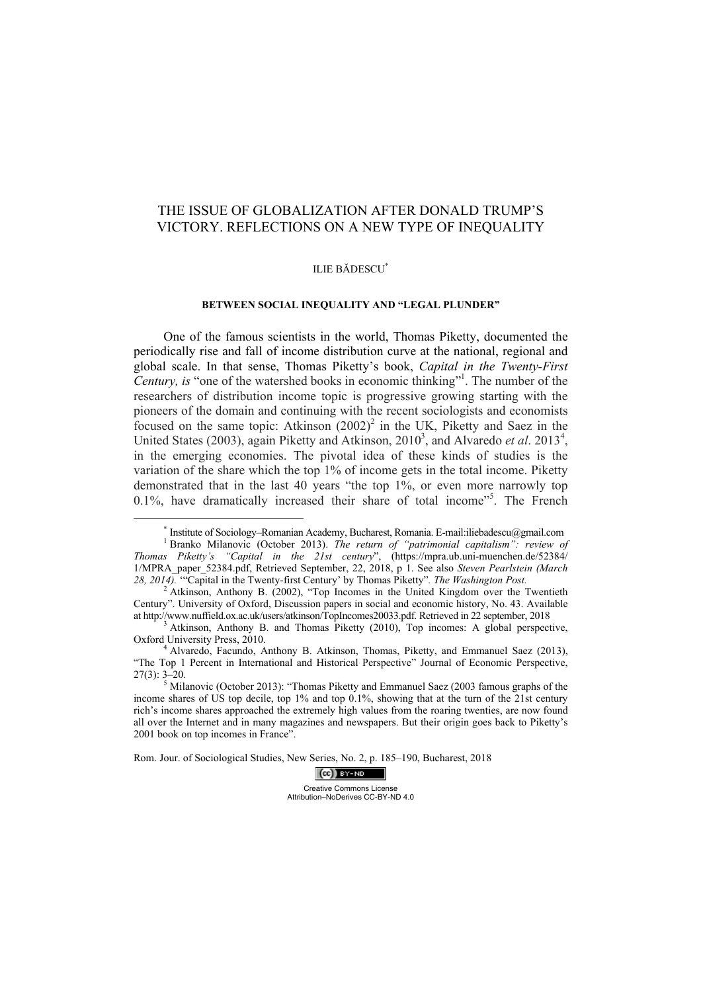## THE ISSUE OF GLOBALIZATION AFTER DONALD TRUMP'S VICTORY. REFLECTIONS ON A NEW TYPE OF INEQUALITY

## ILIE BĂDESCU\*

## **BETWEEN SOCIAL INEQUALITY AND "LEGAL PLUNDER"**

One of the famous scientists in the world, Thomas Piketty, documented the periodically rise and fall of income distribution curve at the national, regional and global scale. In that sense, Thomas Piketty's book, *Capital in the Twenty-First*  Century, is "one of the watershed books in economic thinking"<sup>1</sup>. The number of the researchers of distribution income topic is progressive growing starting with the pioneers of the domain and continuing with the recent sociologists and economists focused on the same topic: Atkinson  $(2002)^2$  in the UK, Piketty and Saez in the United States (2003), again Piketty and Atkinson, 2010<sup>3</sup>, and Alvaredo *et al.* 2013<sup>4</sup>, in the emerging economies. The pivotal idea of these kinds of studies is the variation of the share which the top 1% of income gets in the total income. Piketty demonstrated that in the last 40 years "the top 1%, or even more narrowly top 0.1%, have dramatically increased their share of total income"<sup>5</sup>. The French

Rom. Jour. of Sociological Studies, New Series, No. 2, p. 185–190, Bucharest, 2018



<sup>\*</sup> Institute of Sociology–Romanian Academy, Bucharest, Romania. E-mail:iliebadescu@gmail.com 1

Branko Milanovic (October 2013). *The return of "patrimonial capitalism": review of Thomas Piketty's "Capital in the 21st century*", (https://mpra.ub.uni-muenchen.de/52384/ 1/MPRA\_paper\_52384.pdf, Retrieved September, 22, 2018, p 1. See also *Steven Pearlstein (March 28, 2014).* '"Capital in the Twenty-first Century' by Thomas Piketty"*. The Washington Post.* <sup>2</sup>

 $^{2}$  Atkinson, Anthony B. (2002), "Top Incomes in the United Kingdom over the Twentieth Century". University of Oxford, Discussion papers in social and economic history, No. 43. Available at http://www.nuffield.ox.ac.uk/users/atkinson/TopIncomes20033.pdf. Retrieved in 22 september, 2018 <sup>3</sup>

<sup>&</sup>lt;sup>3</sup> Atkinson, Anthony B. and Thomas Piketty (2010), Top incomes: A global perspective, Oxford University Press, 2010.

<sup>&</sup>lt;sup>4</sup> Alvaredo, Facundo, Anthony B. Atkinson, Thomas, Piketty, and Emmanuel Saez (2013), "The Top 1 Percent in International and Historical Perspective" Journal of Economic Perspective,  $27(3)$ :  $3-20$ .

Milanovic (October 2013): "Thomas Piketty and Emmanuel Saez (2003 famous graphs of the income shares of US top decile, top 1% and top 0.1%, showing that at the turn of the 21st century rich's income shares approached the extremely high values from the roaring twenties, are now found all over the Internet and in many magazines and newspapers. But their origin goes back to Piketty's 2001 book on top incomes in France".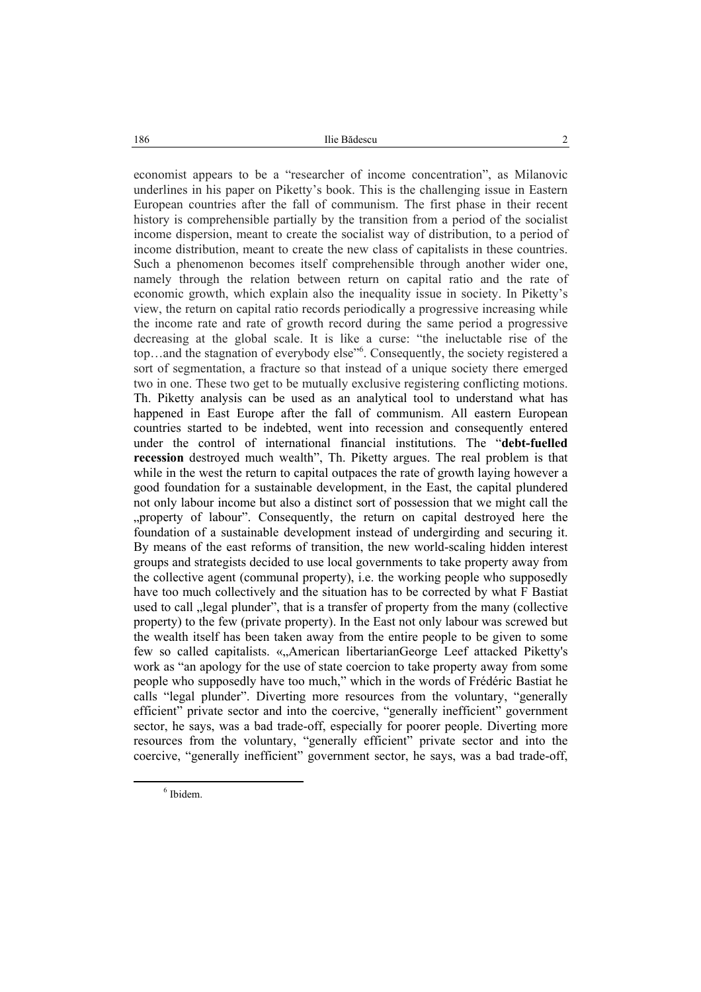economist appears to be a "researcher of income concentration", as Milanovic underlines in his paper on Piketty's book. This is the challenging issue in Eastern European countries after the fall of communism. The first phase in their recent history is comprehensible partially by the transition from a period of the socialist income dispersion, meant to create the socialist way of distribution, to a period of income distribution, meant to create the new class of capitalists in these countries. Such a phenomenon becomes itself comprehensible through another wider one, namely through the relation between return on capital ratio and the rate of economic growth, which explain also the inequality issue in society. In Piketty's view, the return on capital ratio records periodically a progressive increasing while the income rate and rate of growth record during the same period a progressive decreasing at the global scale. It is like a curse: "the ineluctable rise of the top…and the stagnation of everybody else"<sup>6</sup> . Consequently, the society registered a sort of segmentation, a fracture so that instead of a unique society there emerged two in one. These two get to be mutually exclusive registering conflicting motions. Th. Piketty analysis can be used as an analytical tool to understand what has happened in East Europe after the fall of communism. All eastern European countries started to be indebted, went into recession and consequently entered under the control of international financial institutions. The "**debt-fuelled recession** destroyed much wealth", Th. Piketty argues. The real problem is that while in the west the return to capital outpaces the rate of growth laying however a good foundation for a sustainable development, in the East, the capital plundered not only labour income but also a distinct sort of possession that we might call the "property of labour". Consequently, the return on capital destroyed here the foundation of a sustainable development instead of undergirding and securing it. By means of the east reforms of transition, the new world-scaling hidden interest groups and strategists decided to use local governments to take property away from the collective agent (communal property), i.e. the working people who supposedly have too much collectively and the situation has to be corrected by what F Bastiat used to call "legal plunder", that is a transfer of property from the many (collective property) to the few (private property). In the East not only labour was screwed but the wealth itself has been taken away from the entire people to be given to some few so called capitalists. «"American libertarianGeorge Leef attacked Piketty's work as "an apology for the use of state coercion to take property away from some people who supposedly have too much," which in the words of Frédéric Bastiat he calls "legal plunder". Diverting more resources from the voluntary, "generally efficient" private sector and into the coercive, "generally inefficient" government sector, he says, was a bad trade-off, especially for poorer people. Diverting more resources from the voluntary, "generally efficient" private sector and into the coercive, "generally inefficient" government sector, he says, was a bad trade-off,

 $6$  Thidom  $6$  Ibidem.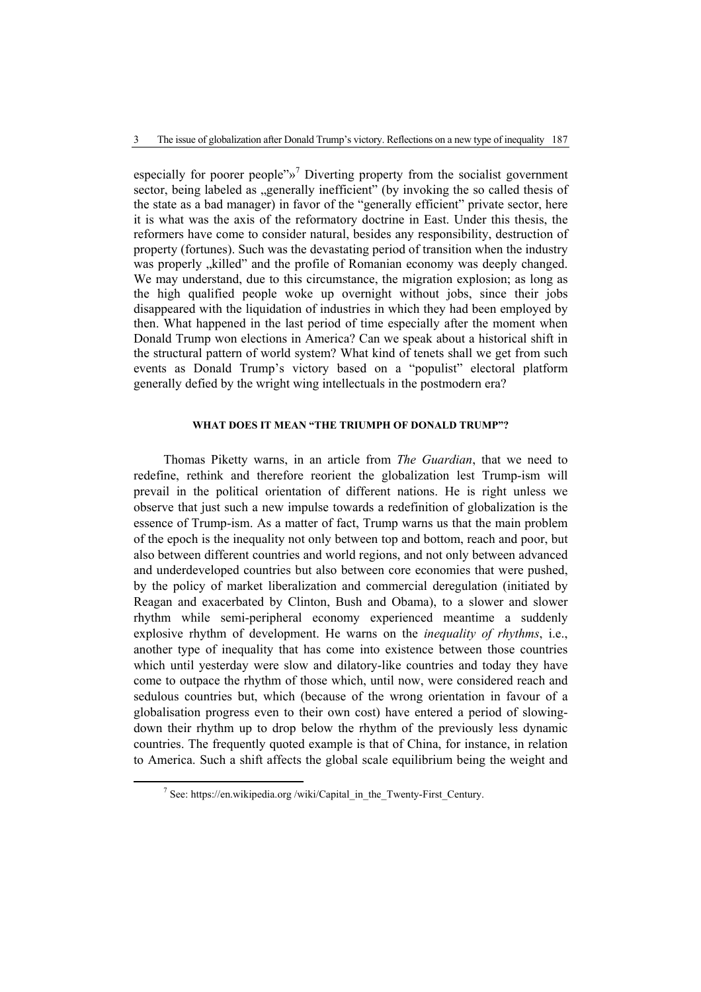especially for poorer people" $\mathbf{v}^7$  Diverting property from the socialist government sector, being labeled as "generally inefficient" (by invoking the so called thesis of the state as a bad manager) in favor of the "generally efficient" private sector, here it is what was the axis of the reformatory doctrine in East. Under this thesis, the reformers have come to consider natural, besides any responsibility, destruction of property (fortunes). Such was the devastating period of transition when the industry was properly "killed" and the profile of Romanian economy was deeply changed. We may understand, due to this circumstance, the migration explosion; as long as the high qualified people woke up overnight without jobs, since their jobs disappeared with the liquidation of industries in which they had been employed by then. What happened in the last period of time especially after the moment when Donald Trump won elections in America? Can we speak about a historical shift in the structural pattern of world system? What kind of tenets shall we get from such events as Donald Trump's victory based on a "populist" electoral platform generally defied by the wright wing intellectuals in the postmodern era?

## **WHAT DOES IT MEAN "THE TRIUMPH OF DONALD TRUMP"?**

Thomas Piketty warns, in an article from *The Guardian*, that we need to redefine, rethink and therefore reorient the globalization lest Trump-ism will prevail in the political orientation of different nations. He is right unless we observe that just such a new impulse towards a redefinition of globalization is the essence of Trump-ism. As a matter of fact, Trump warns us that the main problem of the epoch is the inequality not only between top and bottom, reach and poor, but also between different countries and world regions, and not only between advanced and underdeveloped countries but also between core economies that were pushed, by the policy of market liberalization and commercial deregulation (initiated by Reagan and exacerbated by Clinton, Bush and Obama), to a slower and slower rhythm while semi-peripheral economy experienced meantime a suddenly explosive rhythm of development. He warns on the *inequality of rhythms*, i.e., another type of inequality that has come into existence between those countries which until yesterday were slow and dilatory-like countries and today they have come to outpace the rhythm of those which, until now, were considered reach and sedulous countries but, which (because of the wrong orientation in favour of a globalisation progress even to their own cost) have entered a period of slowingdown their rhythm up to drop below the rhythm of the previously less dynamic countries. The frequently quoted example is that of China, for instance, in relation to America. Such a shift affects the global scale equilibrium being the weight and

<sup>&</sup>lt;sup>7</sup> See: https://en.wikipedia.org/wiki/Capital\_in\_the\_Twenty-First\_Century.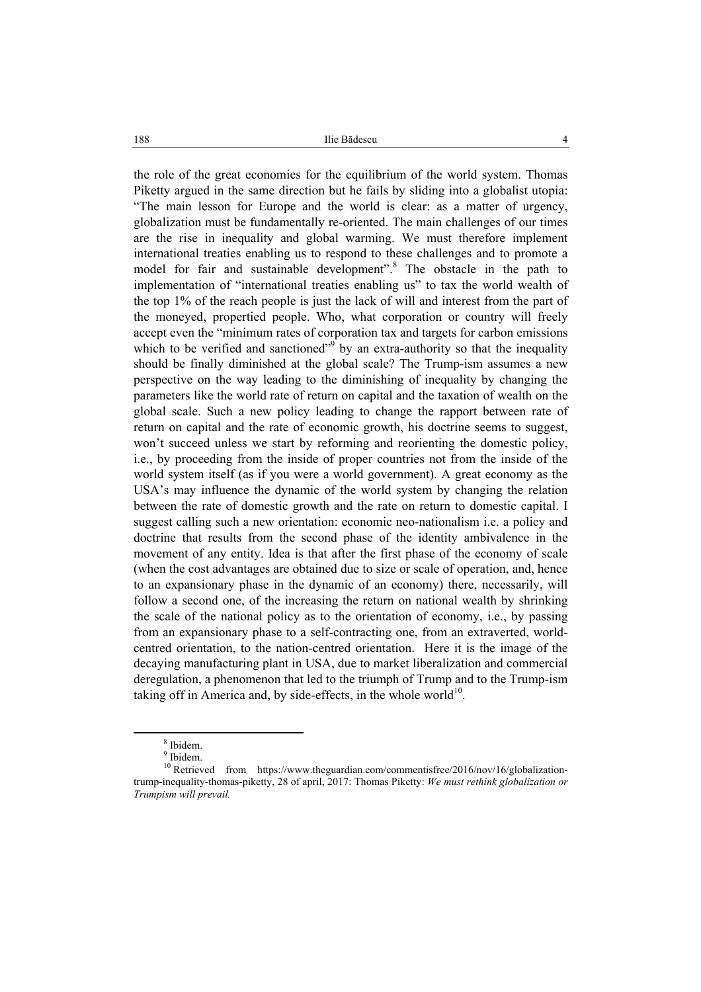188 **Ilie Bădescu** 4

the role of the great economies for the equilibrium of the world system. Thomas Piketty argued in the same direction but he fails by sliding into a globalist utopia: "The main lesson for Europe and the world is clear: as a matter of urgency, globalization must be fundamentally re-oriented. The main challenges of our times are the rise in inequality and global warming. We must therefore implement international treaties enabling us to respond to these challenges and to promote a model for fair and sustainable development".<sup>8</sup> The obstacle in the path to implementation of "international treaties enabling us" to tax the world wealth of the top 1% of the reach people is just the lack of will and interest from the part of the moneyed, propertied people. Who, what corporation or country will freely accept even the "minimum rates of corporation tax and targets for carbon emissions which to be verified and sanctioned<sup> $\frac{1}{2}$ </sup> by an extra-authority so that the inequality should be finally diminished at the global scale? The Trump-ism assumes a new perspective on the way leading to the diminishing of inequality by changing the parameters like the world rate of return on capital and the taxation of wealth on the global scale. Such a new policy leading to change the rapport between rate of return on capital and the rate of economic growth, his doctrine seems to suggest, won't succeed unless we start by reforming and reorienting the domestic policy, i.e., by proceeding from the inside of proper countries not from the inside of the world system itself (as if you were a world government). A great economy as the USA's may influence the dynamic of the world system by changing the relation between the rate of domestic growth and the rate on return to domestic capital. I suggest calling such a new orientation: economic neo-nationalism i.e. a policy and doctrine that results from the second phase of the identity ambivalence in the movement of any entity. Idea is that after the first phase of the economy of scale (when the cost advantages are obtained due to size or scale of operation, and, hence to an expansionary phase in the dynamic of an economy) there, necessarily, will follow a second one, of the increasing the return on national wealth by shrinking the scale of the national policy as to the orientation of economy, i.e., by passing from an expansionary phase to a self-contracting one, from an extraverted, worldcentred orientation, to the nation-centred orientation. Here it is the image of the decaying manufacturing plant in USA, due to market liberalization and commercial deregulation, a phenomenon that led to the triumph of Trump and to the Trump-ism taking off in America and, by side-effects, in the whole world $10^{\circ}$ .

 <sup>8</sup> Ibidem.

<sup>&</sup>lt;sup>9</sup> Ibidem.

 $10$  Retrieved from https://www.theguardian.com/commentisfree/2016/nov/16/globalizationtrump-inequality-thomas-piketty, 28 of april, 2017: Thomas Piketty: *We must rethink globalization or Trumpism will prevail.*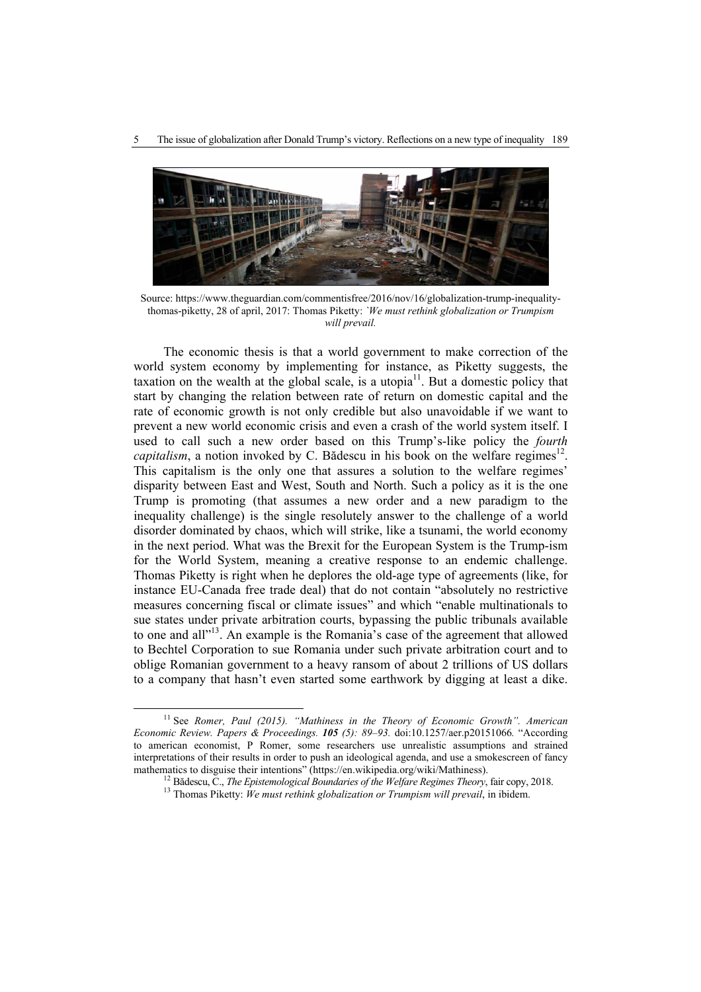

Source: https://www.theguardian.com/commentisfree/2016/nov/16/globalization-trump-inequalitythomas-piketty, 28 of april, 2017: Thomas Piketty: *`We must rethink globalization or Trumpism will prevail.*

The economic thesis is that a world government to make correction of the world system economy by implementing for instance, as Piketty suggests, the taxation on the wealth at the global scale, is a utopia $11$ . But a domestic policy that start by changing the relation between rate of return on domestic capital and the rate of economic growth is not only credible but also unavoidable if we want to prevent a new world economic crisis and even a crash of the world system itself. I used to call such a new order based on this Trump's-like policy the *fourth capitalism*, a notion invoked by C. Bădescu in his book on the welfare regimes<sup>12</sup>. This capitalism is the only one that assures a solution to the welfare regimes' disparity between East and West, South and North. Such a policy as it is the one Trump is promoting (that assumes a new order and a new paradigm to the inequality challenge) is the single resolutely answer to the challenge of a world disorder dominated by chaos, which will strike, like a tsunami, the world economy in the next period. What was the Brexit for the European System is the Trump-ism for the World System, meaning a creative response to an endemic challenge. Thomas Piketty is right when he deplores the old-age type of agreements (like, for instance EU-Canada free trade deal) that do not contain "absolutely no restrictive measures concerning fiscal or climate issues" and which "enable multinationals to sue states under private arbitration courts, bypassing the public tribunals available to one and all"13. An example is the Romania's case of the agreement that allowed to Bechtel Corporation to sue Romania under such private arbitration court and to oblige Romanian government to a heavy ransom of about 2 trillions of US dollars to a company that hasn't even started some earthwork by digging at least a dike.

<sup>&</sup>lt;sup>11</sup> See Romer, Paul (2015). "Mathiness in the Theory of Economic Growth". American *Economic Review. Papers & Proceedings. 105 (5): 89–93.* doi:10.1257/aer.p20151066*.* "According to american economist, P Romer, some researchers use unrealistic assumptions and strained interpretations of their results in order to push an ideological agenda, and use a smokescreen of fancy mathematics to disguise their intentions" (https://en.wikipedia.org/wiki/Mathiness).<br><sup>12</sup> Bădescu, C., *The Epistemological Boundaries of the Welfare Regimes Theory*, fair copy, 2018.<br><sup>13</sup> Thomas Piketty: *We must rethink*